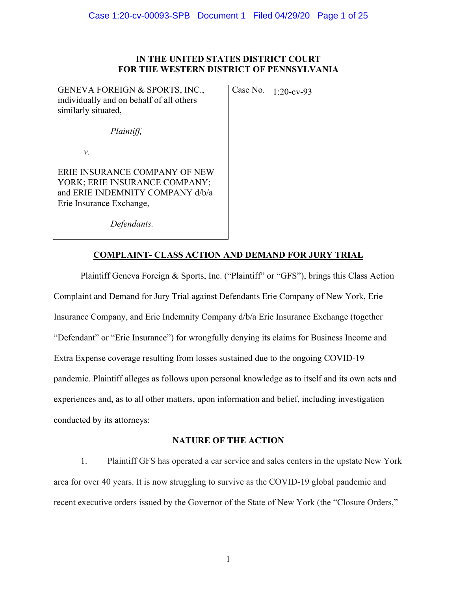## **IN THE UNITED STATES DISTRICT COURT FOR THE WESTERN DISTRICT OF PENNSYLVANIA**

GENEVA FOREIGN & SPORTS, INC., individually and on behalf of all others similarly situated,

Case No. 1:20-cv-93

*Plaintiff,* 

*v.* 

ERIE INSURANCE COMPANY OF NEW YORK; ERIE INSURANCE COMPANY; and ERIE INDEMNITY COMPANY d/b/a Erie Insurance Exchange,

*Defendants.* 

## **COMPLAINT- CLASS ACTION AND DEMAND FOR JURY TRIAL**

Plaintiff Geneva Foreign & Sports, Inc. ("Plaintiff" or "GFS"), brings this Class Action Complaint and Demand for Jury Trial against Defendants Erie Company of New York, Erie Insurance Company, and Erie Indemnity Company d/b/a Erie Insurance Exchange (together "Defendant" or "Erie Insurance") for wrongfully denying its claims for Business Income and Extra Expense coverage resulting from losses sustained due to the ongoing COVID-19 pandemic. Plaintiff alleges as follows upon personal knowledge as to itself and its own acts and experiences and, as to all other matters, upon information and belief, including investigation conducted by its attorneys:

## **NATURE OF THE ACTION**

1. Plaintiff GFS has operated a car service and sales centers in the upstate New York area for over 40 years. It is now struggling to survive as the COVID-19 global pandemic and recent executive orders issued by the Governor of the State of New York (the "Closure Orders,"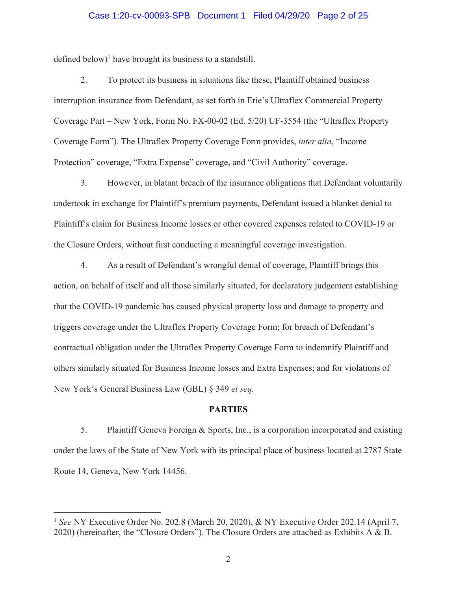# Case 1:20-cv-00093-SPB Document 1 Filed 04/29/20 Page 2 of 25

defined below)<sup>1</sup> have brought its business to a standstill.

2. To protect its business in situations like these, Plaintiff obtained business interruption insurance from Defendant, as set forth in Erie's Ultraflex Commercial Property Coverage Part – New York, Form No. FX-00-02 (Ed. 5/20) UF-3554 (the "Ultraflex Property Coverage Form"). The Ultraflex Property Coverage Form provides, *inter alia*, "Income Protection" coverage, "Extra Expense" coverage, and "Civil Authority" coverage.

3. However, in blatant breach of the insurance obligations that Defendant voluntarily undertook in exchange for Plaintiff's premium payments, Defendant issued a blanket denial to Plaintiff's claim for Business Income losses or other covered expenses related to COVID-19 or the Closure Orders, without first conducting a meaningful coverage investigation.

4. As a result of Defendant's wrongful denial of coverage, Plaintiff brings this action, on behalf of itself and all those similarly situated, for declaratory judgement establishing that the COVID-19 pandemic has caused physical property loss and damage to property and triggers coverage under the Ultraflex Property Coverage Form; for breach of Defendant's contractual obligation under the Ultraflex Property Coverage Form to indemnify Plaintiff and others similarly situated for Business Income losses and Extra Expenses; and for violations of New York's General Business Law (GBL) § 349 *et seq.*

#### **PARTIES**

5. Plaintiff Geneva Foreign & Sports, Inc., is a corporation incorporated and existing under the laws of the State of New York with its principal place of business located at 2787 State Route 14, Geneva, New York 14456.

<sup>1</sup> *See* NY Executive Order No. 202.8 (March 20, 2020), & NY Executive Order 202.14 (April 7, 2020) (hereinafter, the "Closure Orders"). The Closure Orders are attached as Exhibits A & B.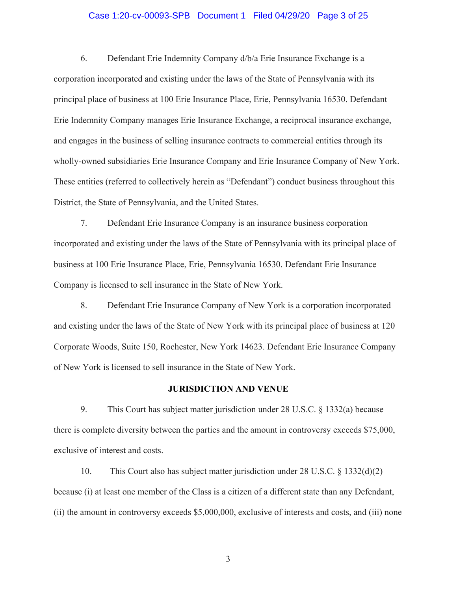#### Case 1:20-cv-00093-SPB Document 1 Filed 04/29/20 Page 3 of 25

6. Defendant Erie Indemnity Company d/b/a Erie Insurance Exchange is a corporation incorporated and existing under the laws of the State of Pennsylvania with its principal place of business at 100 Erie Insurance Place, Erie, Pennsylvania 16530. Defendant Erie Indemnity Company manages Erie Insurance Exchange, a reciprocal insurance exchange, and engages in the business of selling insurance contracts to commercial entities through its wholly-owned subsidiaries Erie Insurance Company and Erie Insurance Company of New York. These entities (referred to collectively herein as "Defendant") conduct business throughout this District, the State of Pennsylvania, and the United States.

7. Defendant Erie Insurance Company is an insurance business corporation incorporated and existing under the laws of the State of Pennsylvania with its principal place of business at 100 Erie Insurance Place, Erie, Pennsylvania 16530. Defendant Erie Insurance Company is licensed to sell insurance in the State of New York.

8. Defendant Erie Insurance Company of New York is a corporation incorporated and existing under the laws of the State of New York with its principal place of business at 120 Corporate Woods, Suite 150, Rochester, New York 14623. Defendant Erie Insurance Company of New York is licensed to sell insurance in the State of New York.

#### **JURISDICTION AND VENUE**

9. This Court has subject matter jurisdiction under 28 U.S.C. § 1332(a) because there is complete diversity between the parties and the amount in controversy exceeds \$75,000, exclusive of interest and costs.

10. This Court also has subject matter jurisdiction under 28 U.S.C. § 1332(d)(2) because (i) at least one member of the Class is a citizen of a different state than any Defendant, (ii) the amount in controversy exceeds \$5,000,000, exclusive of interests and costs, and (iii) none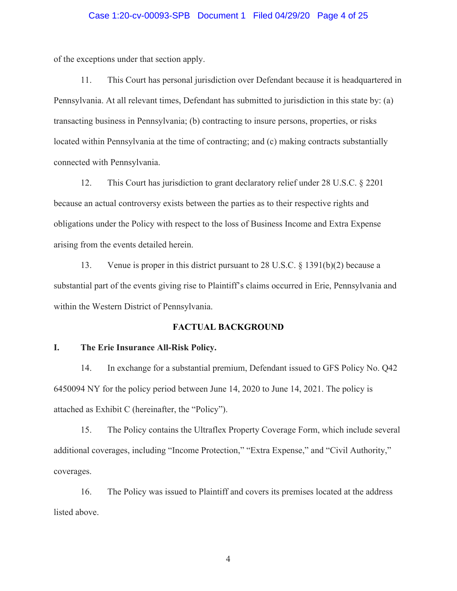#### Case 1:20-cv-00093-SPB Document 1 Filed 04/29/20 Page 4 of 25

of the exceptions under that section apply.

11. This Court has personal jurisdiction over Defendant because it is headquartered in Pennsylvania. At all relevant times, Defendant has submitted to jurisdiction in this state by: (a) transacting business in Pennsylvania; (b) contracting to insure persons, properties, or risks located within Pennsylvania at the time of contracting; and (c) making contracts substantially connected with Pennsylvania.

12. This Court has jurisdiction to grant declaratory relief under 28 U.S.C. § 2201 because an actual controversy exists between the parties as to their respective rights and obligations under the Policy with respect to the loss of Business Income and Extra Expense arising from the events detailed herein.

13. Venue is proper in this district pursuant to 28 U.S.C. § 1391(b)(2) because a substantial part of the events giving rise to Plaintiff's claims occurred in Erie, Pennsylvania and within the Western District of Pennsylvania.

#### **FACTUAL BACKGROUND**

#### **I. The Erie Insurance All-Risk Policy.**

14. In exchange for a substantial premium, Defendant issued to GFS Policy No. Q42 6450094 NY for the policy period between June 14, 2020 to June 14, 2021. The policy is attached as Exhibit C (hereinafter, the "Policy").

15. The Policy contains the Ultraflex Property Coverage Form, which include several additional coverages, including "Income Protection," "Extra Expense," and "Civil Authority," coverages.

16. The Policy was issued to Plaintiff and covers its premises located at the address listed above.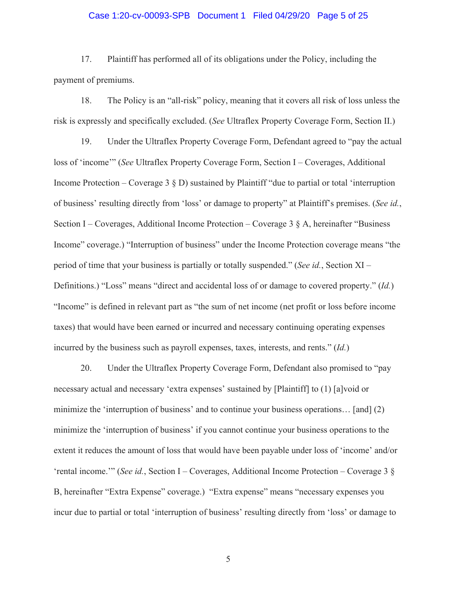#### Case 1:20-cv-00093-SPB Document 1 Filed 04/29/20 Page 5 of 25

17. Plaintiff has performed all of its obligations under the Policy, including the payment of premiums.

18. The Policy is an "all-risk" policy, meaning that it covers all risk of loss unless the risk is expressly and specifically excluded. (*See* Ultraflex Property Coverage Form, Section II.)

19. Under the Ultraflex Property Coverage Form, Defendant agreed to "pay the actual loss of 'income'" (*See* Ultraflex Property Coverage Form, Section I – Coverages, Additional Income Protection – Coverage  $3 \& D$ ) sustained by Plaintiff "due to partial or total 'interruption of business' resulting directly from 'loss' or damage to property" at Plaintiff's premises. (*See id.*, Section I – Coverages, Additional Income Protection – Coverage  $3 \S$  A, hereinafter "Business" Income" coverage.) "Interruption of business" under the Income Protection coverage means "the period of time that your business is partially or totally suspended." (*See id.*, Section XI – Definitions.) "Loss" means "direct and accidental loss of or damage to covered property." (*Id.*) "Income" is defined in relevant part as "the sum of net income (net profit or loss before income taxes) that would have been earned or incurred and necessary continuing operating expenses incurred by the business such as payroll expenses, taxes, interests, and rents." (*Id.*)

20. Under the Ultraflex Property Coverage Form, Defendant also promised to "pay necessary actual and necessary 'extra expenses' sustained by [Plaintiff] to (1) [a]void or minimize the 'interruption of business' and to continue your business operations... [and] (2) minimize the 'interruption of business' if you cannot continue your business operations to the extent it reduces the amount of loss that would have been payable under loss of 'income' and/or 'rental income.'" (*See id.*, Section I – Coverages, Additional Income Protection – Coverage 3 § B, hereinafter "Extra Expense" coverage.) "Extra expense" means "necessary expenses you incur due to partial or total 'interruption of business' resulting directly from 'loss' or damage to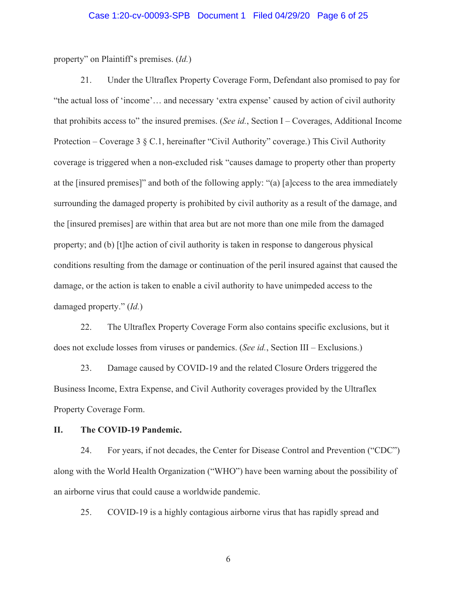property" on Plaintiff's premises. (*Id.*)

21. Under the Ultraflex Property Coverage Form, Defendant also promised to pay for "the actual loss of 'income'… and necessary 'extra expense' caused by action of civil authority that prohibits access to" the insured premises. (*See id.*, Section I – Coverages, Additional Income Protection – Coverage 3 § C.1, hereinafter "Civil Authority" coverage.) This Civil Authority coverage is triggered when a non-excluded risk "causes damage to property other than property at the [insured premises]" and both of the following apply: "(a) [a]ccess to the area immediately surrounding the damaged property is prohibited by civil authority as a result of the damage, and the [insured premises] are within that area but are not more than one mile from the damaged property; and (b) [t]he action of civil authority is taken in response to dangerous physical conditions resulting from the damage or continuation of the peril insured against that caused the damage, or the action is taken to enable a civil authority to have unimpeded access to the damaged property." (*Id.*)

22. The Ultraflex Property Coverage Form also contains specific exclusions, but it does not exclude losses from viruses or pandemics. (*See id.*, Section III – Exclusions.)

23. Damage caused by COVID-19 and the related Closure Orders triggered the Business Income, Extra Expense, and Civil Authority coverages provided by the Ultraflex Property Coverage Form.

### **II. The COVID-19 Pandemic.**

24. For years, if not decades, the Center for Disease Control and Prevention ("CDC") along with the World Health Organization ("WHO") have been warning about the possibility of an airborne virus that could cause a worldwide pandemic.

25. COVID-19 is a highly contagious airborne virus that has rapidly spread and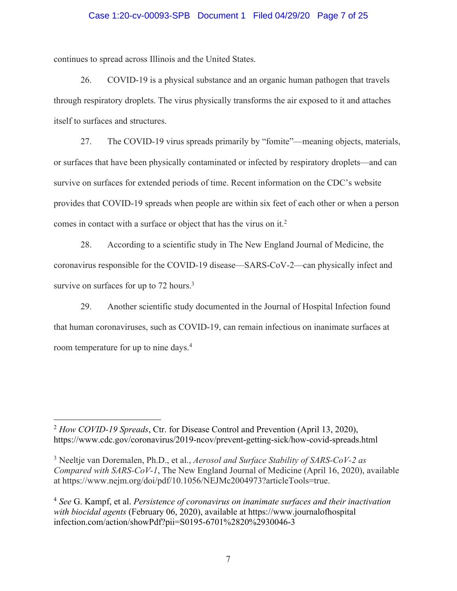### Case 1:20-cv-00093-SPB Document 1 Filed 04/29/20 Page 7 of 25

continues to spread across Illinois and the United States.

26. COVID-19 is a physical substance and an organic human pathogen that travels through respiratory droplets. The virus physically transforms the air exposed to it and attaches itself to surfaces and structures.

27. The COVID-19 virus spreads primarily by "fomite"—meaning objects, materials, or surfaces that have been physically contaminated or infected by respiratory droplets—and can survive on surfaces for extended periods of time. Recent information on the CDC's website provides that COVID-19 spreads when people are within six feet of each other or when a person comes in contact with a surface or object that has the virus on it.<sup>2</sup>

28. According to a scientific study in The New England Journal of Medicine, the coronavirus responsible for the COVID-19 disease—SARS-CoV-2—can physically infect and survive on surfaces for up to 72 hours.<sup>3</sup>

29. Another scientific study documented in the Journal of Hospital Infection found that human coronaviruses, such as COVID-19, can remain infectious on inanimate surfaces at room temperature for up to nine days.4

<sup>2</sup> *How COVID-19 Spreads*, Ctr. for Disease Control and Prevention (April 13, 2020), https://www.cdc.gov/coronavirus/2019-ncov/prevent-getting-sick/how-covid-spreads.html

<sup>3</sup> Neeltje van Doremalen, Ph.D., et al., *Aerosol and Surface Stability of SARS-CoV-2 as Compared with SARS-CoV-1*, The New England Journal of Medicine (April 16, 2020), available at https://www.nejm.org/doi/pdf/10.1056/NEJMc2004973?articleTools=true.

<sup>4</sup> *See* G. Kampf, et al. *Persistence of coronavirus on inanimate surfaces and their inactivation with biocidal agents* (February 06, 2020), available at https://www.journalofhospital infection.com/action/showPdf?pii=S0195-6701%2820%2930046-3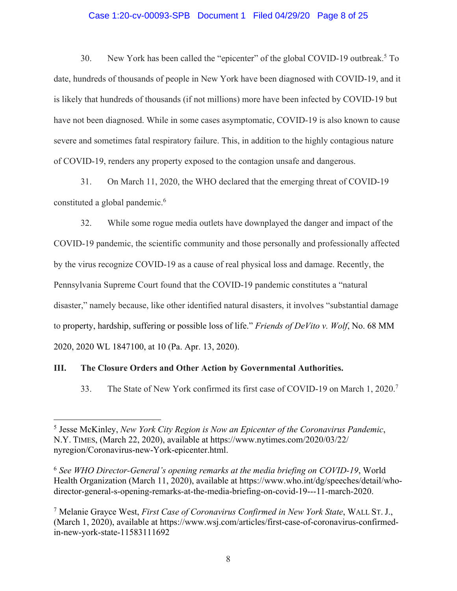### Case 1:20-cv-00093-SPB Document 1 Filed 04/29/20 Page 8 of 25

30. New York has been called the "epicenter" of the global COVID-19 outbreak.<sup>5</sup> To date, hundreds of thousands of people in New York have been diagnosed with COVID-19, and it is likely that hundreds of thousands (if not millions) more have been infected by COVID-19 but have not been diagnosed. While in some cases asymptomatic, COVID-19 is also known to cause severe and sometimes fatal respiratory failure. This, in addition to the highly contagious nature of COVID-19, renders any property exposed to the contagion unsafe and dangerous.

31. On March 11, 2020, the WHO declared that the emerging threat of COVID-19 constituted a global pandemic.<sup>6</sup>

32. While some rogue media outlets have downplayed the danger and impact of the COVID-19 pandemic, the scientific community and those personally and professionally affected by the virus recognize COVID-19 as a cause of real physical loss and damage. Recently, the Pennsylvania Supreme Court found that the COVID-19 pandemic constitutes a "natural disaster," namely because, like other identified natural disasters, it involves "substantial damage to property, hardship, suffering or possible loss of life." *Friends of DeVito v. Wolf*, No. 68 MM 2020, 2020 WL 1847100, at 10 (Pa. Apr. 13, 2020).

## **III. The Closure Orders and Other Action by Governmental Authorities.**

33. The State of New York confirmed its first case of COVID-19 on March 1, 2020.7

<sup>5</sup> Jesse McKinley, *New York City Region is Now an Epicenter of the Coronavirus Pandemic*, N.Y. TIMES, (March 22, 2020), available at https://www.nytimes.com/2020/03/22/ nyregion/Coronavirus-new-York-epicenter.html.

<sup>6</sup> *See WHO Director-General's opening remarks at the media briefing on COVID-19*, World Health Organization (March 11, 2020), available at https://www.who.int/dg/speeches/detail/whodirector-general-s-opening-remarks-at-the-media-briefing-on-covid-19---11-march-2020.

<sup>7</sup> Melanie Grayce West, *First Case of Coronavirus Confirmed in New York State*, WALL ST. J., (March 1, 2020), available at https://www.wsj.com/articles/first-case-of-coronavirus-confirmedin-new-york-state-11583111692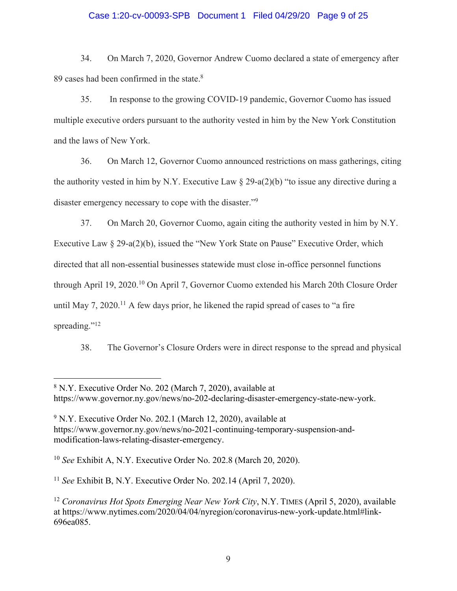# Case 1:20-cv-00093-SPB Document 1 Filed 04/29/20 Page 9 of 25

34. On March 7, 2020, Governor Andrew Cuomo declared a state of emergency after 89 cases had been confirmed in the state.<sup>8</sup>

35. In response to the growing COVID-19 pandemic, Governor Cuomo has issued multiple executive orders pursuant to the authority vested in him by the New York Constitution and the laws of New York.

36. On March 12, Governor Cuomo announced restrictions on mass gatherings, citing the authority vested in him by N.Y. Executive Law  $\S 29-a(2)(b)$  "to issue any directive during a disaster emergency necessary to cope with the disaster."9

37. On March 20, Governor Cuomo, again citing the authority vested in him by N.Y. Executive Law § 29-a(2)(b), issued the "New York State on Pause" Executive Order, which directed that all non-essential businesses statewide must close in-office personnel functions through April 19, 2020.<sup>10</sup> On April 7, Governor Cuomo extended his March 20th Closure Order until May 7, 2020.<sup>11</sup> A few days prior, he likened the rapid spread of cases to "a fire spreading."<sup>12</sup>

38. The Governor's Closure Orders were in direct response to the spread and physical

<sup>10</sup> *See* Exhibit A, N.Y. Executive Order No. 202.8 (March 20, 2020).

<sup>11</sup> *See* Exhibit B, N.Y. Executive Order No. 202.14 (April 7, 2020).

<sup>8</sup> N.Y. Executive Order No. 202 (March 7, 2020), available at https://www.governor.ny.gov/news/no-202-declaring-disaster-emergency-state-new-york.

<sup>&</sup>lt;sup>9</sup> N.Y. Executive Order No. 202.1 (March 12, 2020), available at https://www.governor.ny.gov/news/no-2021-continuing-temporary-suspension-andmodification-laws-relating-disaster-emergency.

<sup>12</sup> *Coronavirus Hot Spots Emerging Near New York City*, N.Y. TIMES (April 5, 2020), available at https://www.nytimes.com/2020/04/04/nyregion/coronavirus-new-york-update.html#link-696ea085.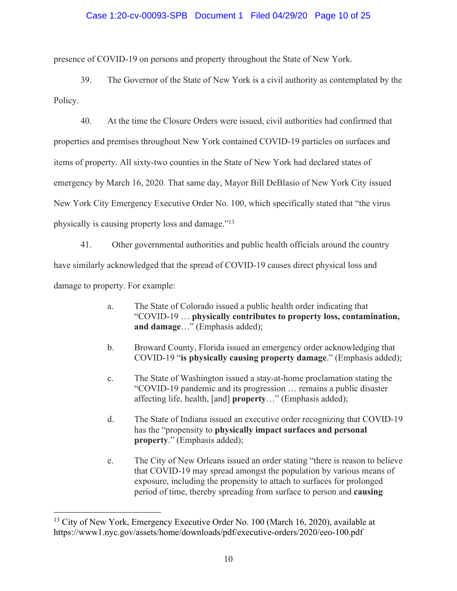## Case 1:20-cv-00093-SPB Document 1 Filed 04/29/20 Page 10 of 25

presence of COVID-19 on persons and property throughout the State of New York.

39. The Governor of the State of New York is a civil authority as contemplated by the Policy.

40. At the time the Closure Orders were issued, civil authorities had confirmed that properties and premises throughout New York contained COVID-19 particles on surfaces and items of property. All sixty-two counties in the State of New York had declared states of emergency by March 16, 2020. That same day, Mayor Bill DeBlasio of New York City issued New York City Emergency Executive Order No. 100, which specifically stated that "the virus physically is causing property loss and damage."13

41. Other governmental authorities and public health officials around the country have similarly acknowledged that the spread of COVID-19 causes direct physical loss and damage to property. For example:

- a. The State of Colorado issued a public health order indicating that "COVID-19 … **physically contributes to property loss, contamination, and damage**…" (Emphasis added);
- b. Broward County, Florida issued an emergency order acknowledging that COVID-19 "**is physically causing property damage**." (Emphasis added);
- c. The State of Washington issued a stay-at-home proclamation stating the "COVID-19 pandemic and its progression … remains a public disaster affecting life, health, [and] **property**…" (Emphasis added);
- d. The State of Indiana issued an executive order recognizing that COVID-19 has the "propensity to **physically impact surfaces and personal property**." (Emphasis added);
- e. The City of New Orleans issued an order stating "there is reason to believe that COVID-19 may spread amongst the population by various means of exposure, including the propensity to attach to surfaces for prolonged period of time, thereby spreading from surface to person and **causing**

<sup>&</sup>lt;sup>13</sup> City of New York, Emergency Executive Order No. 100 (March 16, 2020), available at https://www1.nyc.gov/assets/home/downloads/pdf/executive-orders/2020/eeo-100.pdf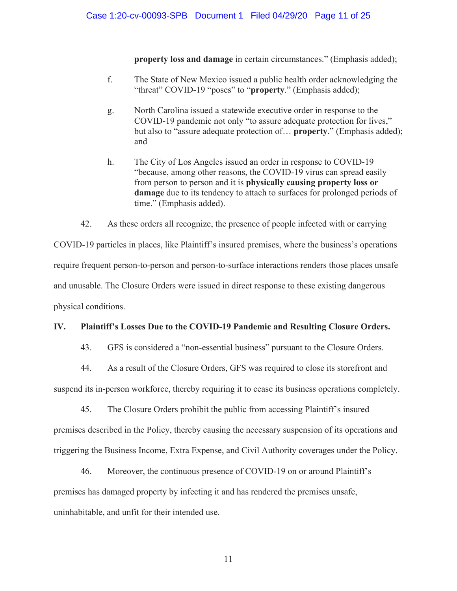**property loss and damage** in certain circumstances." (Emphasis added);

- f. The State of New Mexico issued a public health order acknowledging the "threat" COVID-19 "poses" to "**property**." (Emphasis added);
- g. North Carolina issued a statewide executive order in response to the COVID-19 pandemic not only "to assure adequate protection for lives," but also to "assure adequate protection of… **property**." (Emphasis added); and
- h. The City of Los Angeles issued an order in response to COVID-19 "because, among other reasons, the COVID-19 virus can spread easily from person to person and it is **physically causing property loss or damage** due to its tendency to attach to surfaces for prolonged periods of time." (Emphasis added).

42. As these orders all recognize, the presence of people infected with or carrying

COVID-19 particles in places, like Plaintiff's insured premises, where the business's operations require frequent person-to-person and person-to-surface interactions renders those places unsafe and unusable. The Closure Orders were issued in direct response to these existing dangerous physical conditions.

## **IV. Plaintiff's Losses Due to the COVID-19 Pandemic and Resulting Closure Orders.**

43. GFS is considered a "non-essential business" pursuant to the Closure Orders.

44. As a result of the Closure Orders, GFS was required to close its storefront and

suspend its in-person workforce, thereby requiring it to cease its business operations completely.

45. The Closure Orders prohibit the public from accessing Plaintiff's insured premises described in the Policy, thereby causing the necessary suspension of its operations and triggering the Business Income, Extra Expense, and Civil Authority coverages under the Policy.

46. Moreover, the continuous presence of COVID-19 on or around Plaintiff's premises has damaged property by infecting it and has rendered the premises unsafe, uninhabitable, and unfit for their intended use.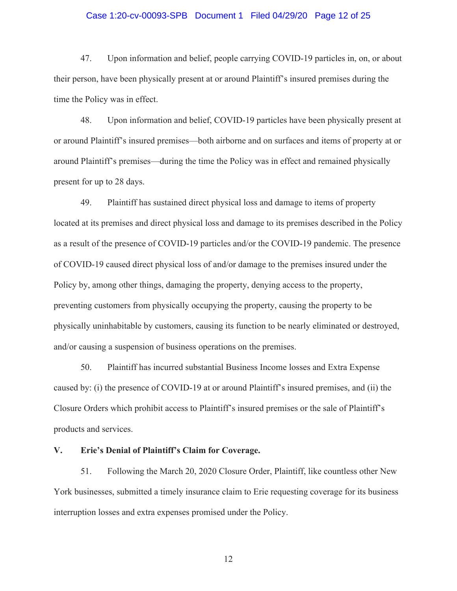# Case 1:20-cv-00093-SPB Document 1 Filed 04/29/20 Page 12 of 25

47. Upon information and belief, people carrying COVID-19 particles in, on, or about their person, have been physically present at or around Plaintiff's insured premises during the time the Policy was in effect.

48. Upon information and belief, COVID-19 particles have been physically present at or around Plaintiff's insured premises—both airborne and on surfaces and items of property at or around Plaintiff's premises—during the time the Policy was in effect and remained physically present for up to 28 days.

49. Plaintiff has sustained direct physical loss and damage to items of property located at its premises and direct physical loss and damage to its premises described in the Policy as a result of the presence of COVID-19 particles and/or the COVID-19 pandemic. The presence of COVID-19 caused direct physical loss of and/or damage to the premises insured under the Policy by, among other things, damaging the property, denying access to the property, preventing customers from physically occupying the property, causing the property to be physically uninhabitable by customers, causing its function to be nearly eliminated or destroyed, and/or causing a suspension of business operations on the premises.

50. Plaintiff has incurred substantial Business Income losses and Extra Expense caused by: (i) the presence of COVID-19 at or around Plaintiff's insured premises, and (ii) the Closure Orders which prohibit access to Plaintiff's insured premises or the sale of Plaintiff's products and services.

### **V. Erie's Denial of Plaintiff's Claim for Coverage.**

51. Following the March 20, 2020 Closure Order, Plaintiff, like countless other New York businesses, submitted a timely insurance claim to Erie requesting coverage for its business interruption losses and extra expenses promised under the Policy.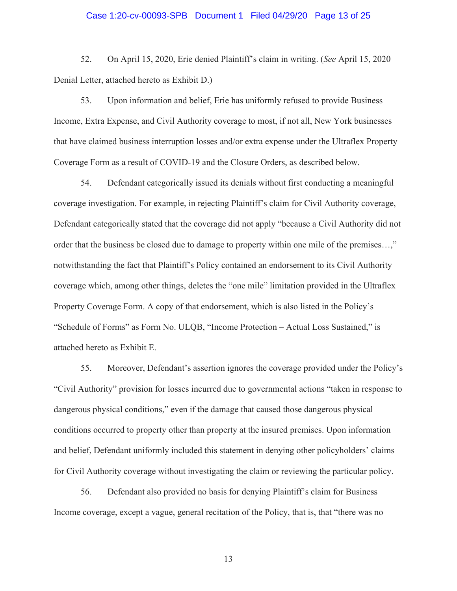# Case 1:20-cv-00093-SPB Document 1 Filed 04/29/20 Page 13 of 25

52. On April 15, 2020, Erie denied Plaintiff's claim in writing. (*See* April 15, 2020 Denial Letter, attached hereto as Exhibit D.)

53. Upon information and belief, Erie has uniformly refused to provide Business Income, Extra Expense, and Civil Authority coverage to most, if not all, New York businesses that have claimed business interruption losses and/or extra expense under the Ultraflex Property Coverage Form as a result of COVID-19 and the Closure Orders, as described below.

54. Defendant categorically issued its denials without first conducting a meaningful coverage investigation. For example, in rejecting Plaintiff's claim for Civil Authority coverage, Defendant categorically stated that the coverage did not apply "because a Civil Authority did not order that the business be closed due to damage to property within one mile of the premises...," notwithstanding the fact that Plaintiff's Policy contained an endorsement to its Civil Authority coverage which, among other things, deletes the "one mile" limitation provided in the Ultraflex Property Coverage Form. A copy of that endorsement, which is also listed in the Policy's "Schedule of Forms" as Form No. ULQB, "Income Protection – Actual Loss Sustained," is attached hereto as Exhibit E.

55. Moreover, Defendant's assertion ignores the coverage provided under the Policy's "Civil Authority" provision for losses incurred due to governmental actions "taken in response to dangerous physical conditions," even if the damage that caused those dangerous physical conditions occurred to property other than property at the insured premises. Upon information and belief, Defendant uniformly included this statement in denying other policyholders' claims for Civil Authority coverage without investigating the claim or reviewing the particular policy.

56. Defendant also provided no basis for denying Plaintiff's claim for Business Income coverage, except a vague, general recitation of the Policy, that is, that "there was no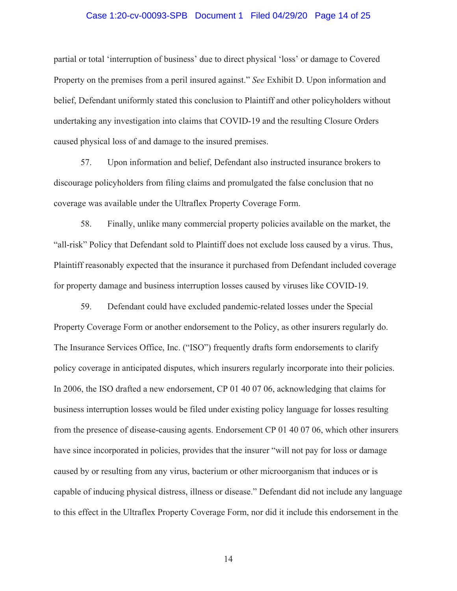# Case 1:20-cv-00093-SPB Document 1 Filed 04/29/20 Page 14 of 25

partial or total 'interruption of business' due to direct physical 'loss' or damage to Covered Property on the premises from a peril insured against." *See* Exhibit D. Upon information and belief, Defendant uniformly stated this conclusion to Plaintiff and other policyholders without undertaking any investigation into claims that COVID-19 and the resulting Closure Orders caused physical loss of and damage to the insured premises.

57. Upon information and belief, Defendant also instructed insurance brokers to discourage policyholders from filing claims and promulgated the false conclusion that no coverage was available under the Ultraflex Property Coverage Form.

58. Finally, unlike many commercial property policies available on the market, the "all-risk" Policy that Defendant sold to Plaintiff does not exclude loss caused by a virus. Thus, Plaintiff reasonably expected that the insurance it purchased from Defendant included coverage for property damage and business interruption losses caused by viruses like COVID-19.

59. Defendant could have excluded pandemic-related losses under the Special Property Coverage Form or another endorsement to the Policy, as other insurers regularly do. The Insurance Services Office, Inc. ("ISO") frequently drafts form endorsements to clarify policy coverage in anticipated disputes, which insurers regularly incorporate into their policies. In 2006, the ISO drafted a new endorsement, CP 01 40 07 06, acknowledging that claims for business interruption losses would be filed under existing policy language for losses resulting from the presence of disease-causing agents. Endorsement CP 01 40 07 06, which other insurers have since incorporated in policies, provides that the insurer "will not pay for loss or damage caused by or resulting from any virus, bacterium or other microorganism that induces or is capable of inducing physical distress, illness or disease." Defendant did not include any language to this effect in the Ultraflex Property Coverage Form, nor did it include this endorsement in the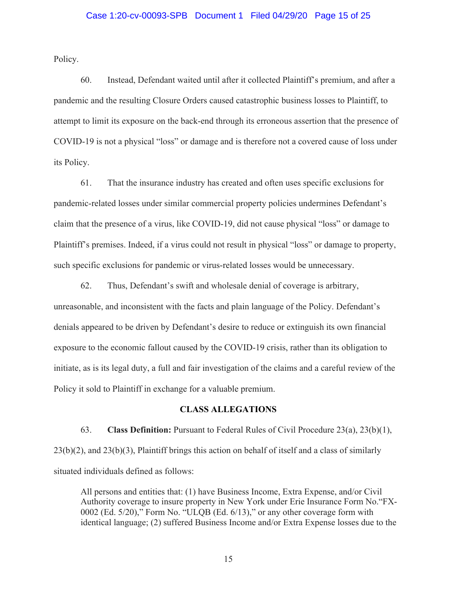## Case 1:20-cv-00093-SPB Document 1 Filed 04/29/20 Page 15 of 25

Policy.

60. Instead, Defendant waited until after it collected Plaintiff's premium, and after a pandemic and the resulting Closure Orders caused catastrophic business losses to Plaintiff, to attempt to limit its exposure on the back-end through its erroneous assertion that the presence of COVID-19 is not a physical "loss" or damage and is therefore not a covered cause of loss under its Policy.

61. That the insurance industry has created and often uses specific exclusions for pandemic-related losses under similar commercial property policies undermines Defendant's claim that the presence of a virus, like COVID-19, did not cause physical "loss" or damage to Plaintiff's premises. Indeed, if a virus could not result in physical "loss" or damage to property, such specific exclusions for pandemic or virus-related losses would be unnecessary.

62. Thus, Defendant's swift and wholesale denial of coverage is arbitrary, unreasonable, and inconsistent with the facts and plain language of the Policy. Defendant's denials appeared to be driven by Defendant's desire to reduce or extinguish its own financial exposure to the economic fallout caused by the COVID-19 crisis, rather than its obligation to initiate, as is its legal duty, a full and fair investigation of the claims and a careful review of the Policy it sold to Plaintiff in exchange for a valuable premium.

## **CLASS ALLEGATIONS**

63. **Class Definition:** Pursuant to Federal Rules of Civil Procedure 23(a), 23(b)(1), 23(b)(2), and 23(b)(3), Plaintiff brings this action on behalf of itself and a class of similarly situated individuals defined as follows:

All persons and entities that: (1) have Business Income, Extra Expense, and/or Civil Authority coverage to insure property in New York under Erie Insurance Form No."FX-0002 (Ed. 5/20)," Form No. "ULQB (Ed. 6/13)," or any other coverage form with identical language; (2) suffered Business Income and/or Extra Expense losses due to the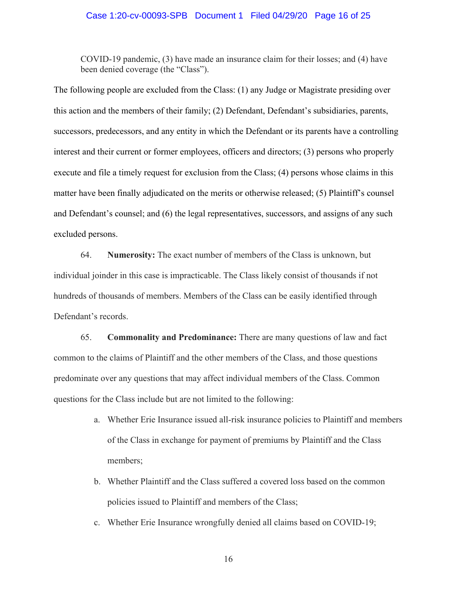#### Case 1:20-cv-00093-SPB Document 1 Filed 04/29/20 Page 16 of 25

COVID-19 pandemic, (3) have made an insurance claim for their losses; and (4) have been denied coverage (the "Class").

The following people are excluded from the Class: (1) any Judge or Magistrate presiding over this action and the members of their family; (2) Defendant, Defendant's subsidiaries, parents, successors, predecessors, and any entity in which the Defendant or its parents have a controlling interest and their current or former employees, officers and directors; (3) persons who properly execute and file a timely request for exclusion from the Class; (4) persons whose claims in this matter have been finally adjudicated on the merits or otherwise released; (5) Plaintiff's counsel and Defendant's counsel; and (6) the legal representatives, successors, and assigns of any such excluded persons.

64. **Numerosity:** The exact number of members of the Class is unknown, but individual joinder in this case is impracticable. The Class likely consist of thousands if not hundreds of thousands of members. Members of the Class can be easily identified through Defendant's records.

65. **Commonality and Predominance:** There are many questions of law and fact common to the claims of Plaintiff and the other members of the Class, and those questions predominate over any questions that may affect individual members of the Class. Common questions for the Class include but are not limited to the following:

- a. Whether Erie Insurance issued all-risk insurance policies to Plaintiff and members of the Class in exchange for payment of premiums by Plaintiff and the Class members;
- b. Whether Plaintiff and the Class suffered a covered loss based on the common policies issued to Plaintiff and members of the Class;
- c. Whether Erie Insurance wrongfully denied all claims based on COVID-19;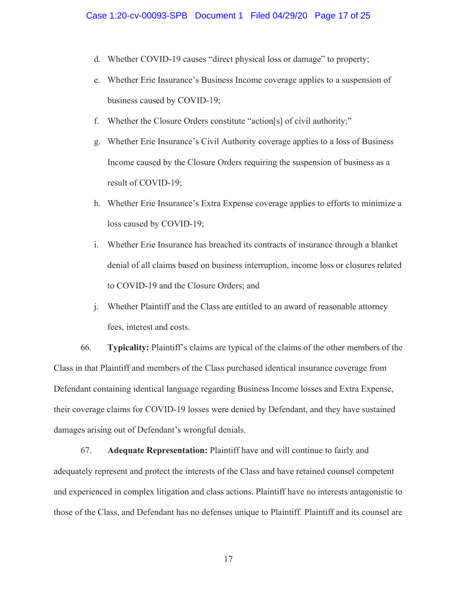- d. Whether COVID-19 causes "direct physical loss or damage" to property;
- e. Whether Erie Insurance's Business Income coverage applies to a suspension of business caused by COVID-19;
- f. Whether the Closure Orders constitute "action[s] of civil authority;"
- g. Whether Erie Insurance's Civil Authority coverage applies to a loss of Business Income caused by the Closure Orders requiring the suspension of business as a result of COVID-19;
- h. Whether Erie Insurance's Extra Expense coverage applies to efforts to minimize a loss caused by COVID-19;
- i. Whether Erie Insurance has breached its contracts of insurance through a blanket denial of all claims based on business interruption, income loss or closures related to COVID-19 and the Closure Orders; and
- j. Whether Plaintiff and the Class are entitled to an award of reasonable attorney fees, interest and costs.

66. **Typicality:** Plaintiff's claims are typical of the claims of the other members of the Class in that Plaintiff and members of the Class purchased identical insurance coverage from Defendant containing identical language regarding Business Income losses and Extra Expense, their coverage claims for COVID-19 losses were denied by Defendant, and they have sustained damages arising out of Defendant's wrongful denials.

67. **Adequate Representation:** Plaintiff have and will continue to fairly and adequately represent and protect the interests of the Class and have retained counsel competent and experienced in complex litigation and class actions. Plaintiff have no interests antagonistic to those of the Class, and Defendant has no defenses unique to Plaintiff. Plaintiff and its counsel are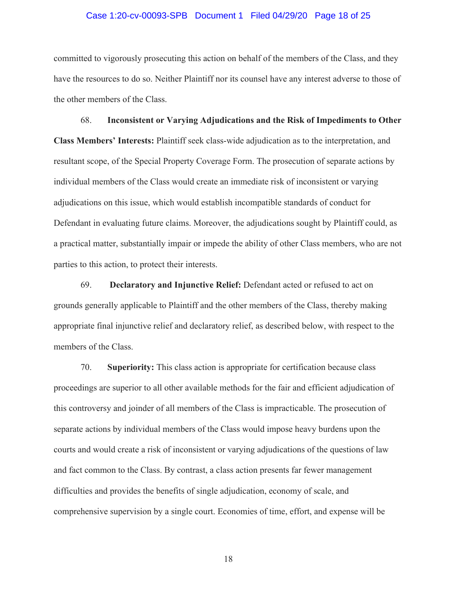## Case 1:20-cv-00093-SPB Document 1 Filed 04/29/20 Page 18 of 25

committed to vigorously prosecuting this action on behalf of the members of the Class, and they have the resources to do so. Neither Plaintiff nor its counsel have any interest adverse to those of the other members of the Class.

68. **Inconsistent or Varying Adjudications and the Risk of Impediments to Other Class Members' Interests:** Plaintiff seek class-wide adjudication as to the interpretation, and resultant scope, of the Special Property Coverage Form. The prosecution of separate actions by individual members of the Class would create an immediate risk of inconsistent or varying adjudications on this issue, which would establish incompatible standards of conduct for Defendant in evaluating future claims. Moreover, the adjudications sought by Plaintiff could, as a practical matter, substantially impair or impede the ability of other Class members, who are not parties to this action, to protect their interests.

69. **Declaratory and Injunctive Relief:** Defendant acted or refused to act on grounds generally applicable to Plaintiff and the other members of the Class, thereby making appropriate final injunctive relief and declaratory relief, as described below, with respect to the members of the Class.

70. **Superiority:** This class action is appropriate for certification because class proceedings are superior to all other available methods for the fair and efficient adjudication of this controversy and joinder of all members of the Class is impracticable. The prosecution of separate actions by individual members of the Class would impose heavy burdens upon the courts and would create a risk of inconsistent or varying adjudications of the questions of law and fact common to the Class. By contrast, a class action presents far fewer management difficulties and provides the benefits of single adjudication, economy of scale, and comprehensive supervision by a single court. Economies of time, effort, and expense will be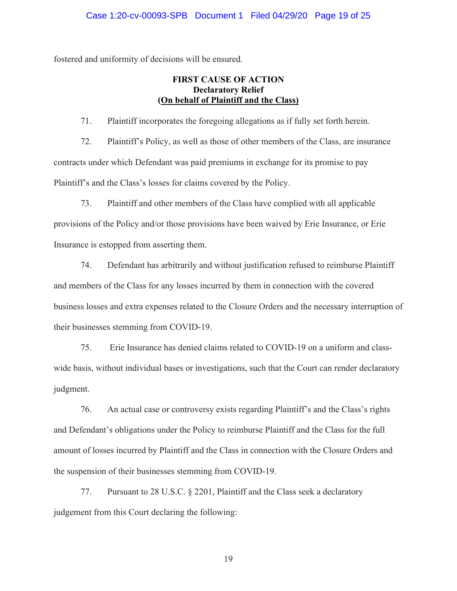fostered and uniformity of decisions will be ensured.

## **FIRST CAUSE OF ACTION Declaratory Relief (On behalf of Plaintiff and the Class)**

71. Plaintiff incorporates the foregoing allegations as if fully set forth herein.

72. Plaintiff's Policy, as well as those of other members of the Class, are insurance contracts under which Defendant was paid premiums in exchange for its promise to pay Plaintiff's and the Class's losses for claims covered by the Policy.

73. Plaintiff and other members of the Class have complied with all applicable provisions of the Policy and/or those provisions have been waived by Erie Insurance, or Erie Insurance is estopped from asserting them.

74. Defendant has arbitrarily and without justification refused to reimburse Plaintiff and members of the Class for any losses incurred by them in connection with the covered business losses and extra expenses related to the Closure Orders and the necessary interruption of their businesses stemming from COVID-19.

75. Erie Insurance has denied claims related to COVID-19 on a uniform and classwide basis, without individual bases or investigations, such that the Court can render declaratory judgment.

76. An actual case or controversy exists regarding Plaintiff's and the Class's rights and Defendant's obligations under the Policy to reimburse Plaintiff and the Class for the full amount of losses incurred by Plaintiff and the Class in connection with the Closure Orders and the suspension of their businesses stemming from COVID-19.

77. Pursuant to 28 U.S.C. § 2201, Plaintiff and the Class seek a declaratory judgement from this Court declaring the following: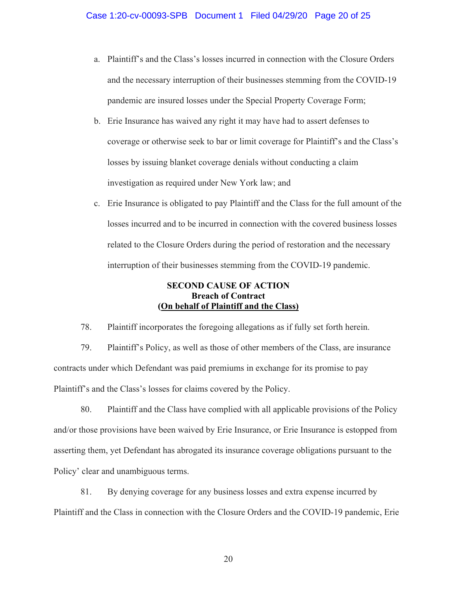- a. Plaintiff's and the Class's losses incurred in connection with the Closure Orders and the necessary interruption of their businesses stemming from the COVID-19 pandemic are insured losses under the Special Property Coverage Form;
- b. Erie Insurance has waived any right it may have had to assert defenses to coverage or otherwise seek to bar or limit coverage for Plaintiff's and the Class's losses by issuing blanket coverage denials without conducting a claim investigation as required under New York law; and
- c. Erie Insurance is obligated to pay Plaintiff and the Class for the full amount of the losses incurred and to be incurred in connection with the covered business losses related to the Closure Orders during the period of restoration and the necessary interruption of their businesses stemming from the COVID-19 pandemic.

# **SECOND CAUSE OF ACTION Breach of Contract (On behalf of Plaintiff and the Class)**

78. Plaintiff incorporates the foregoing allegations as if fully set forth herein.

79. Plaintiff's Policy, as well as those of other members of the Class, are insurance contracts under which Defendant was paid premiums in exchange for its promise to pay Plaintiff's and the Class's losses for claims covered by the Policy.

80. Plaintiff and the Class have complied with all applicable provisions of the Policy and/or those provisions have been waived by Erie Insurance, or Erie Insurance is estopped from asserting them, yet Defendant has abrogated its insurance coverage obligations pursuant to the Policy' clear and unambiguous terms.

81. By denying coverage for any business losses and extra expense incurred by Plaintiff and the Class in connection with the Closure Orders and the COVID-19 pandemic, Erie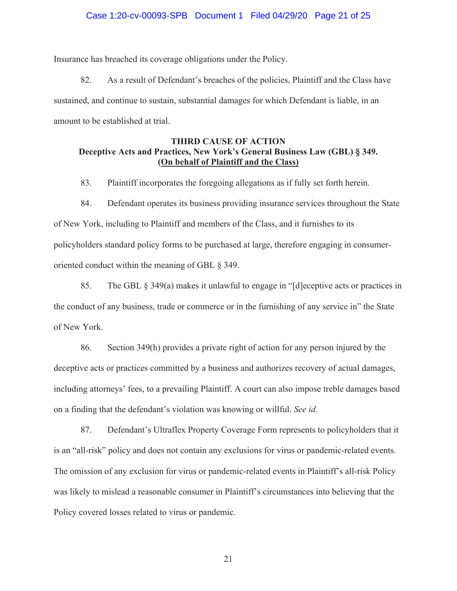## Case 1:20-cv-00093-SPB Document 1 Filed 04/29/20 Page 21 of 25

Insurance has breached its coverage obligations under the Policy.

82. As a result of Defendant's breaches of the policies, Plaintiff and the Class have sustained, and continue to sustain, substantial damages for which Defendant is liable, in an amount to be established at trial.

## **THIRD CAUSE OF ACTION Deceptive Acts and Practices, New York's General Business Law (GBL) § 349. (On behalf of Plaintiff and the Class)**

83. Plaintiff incorporates the foregoing allegations as if fully set forth herein.

84. Defendant operates its business providing insurance services throughout the State of New York, including to Plaintiff and members of the Class, and it furnishes to its policyholders standard policy forms to be purchased at large, therefore engaging in consumeroriented conduct within the meaning of GBL § 349.

85. The GBL § 349(a) makes it unlawful to engage in "[d]eceptive acts or practices in the conduct of any business, trade or commerce or in the furnishing of any service in" the State of New York.

86. Section 349(h) provides a private right of action for any person injured by the deceptive acts or practices committed by a business and authorizes recovery of actual damages, including attorneys' fees, to a prevailing Plaintiff. A court can also impose treble damages based on a finding that the defendant's violation was knowing or willful. *See id.*

87. Defendant's Ultraflex Property Coverage Form represents to policyholders that it is an "all-risk" policy and does not contain any exclusions for virus or pandemic-related events. The omission of any exclusion for virus or pandemic-related events in Plaintiff's all-risk Policy was likely to mislead a reasonable consumer in Plaintiff's circumstances into believing that the Policy covered losses related to virus or pandemic.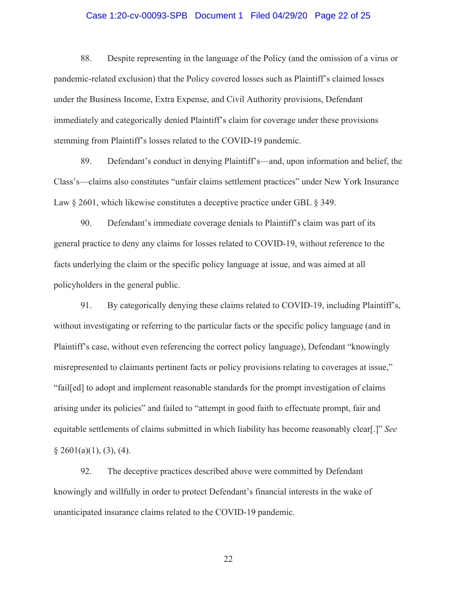# Case 1:20-cv-00093-SPB Document 1 Filed 04/29/20 Page 22 of 25

88. Despite representing in the language of the Policy (and the omission of a virus or pandemic-related exclusion) that the Policy covered losses such as Plaintiff's claimed losses under the Business Income, Extra Expense, and Civil Authority provisions, Defendant immediately and categorically denied Plaintiff's claim for coverage under these provisions stemming from Plaintiff's losses related to the COVID-19 pandemic.

89. Defendant's conduct in denying Plaintiff's—and, upon information and belief, the Class's—claims also constitutes "unfair claims settlement practices" under New York Insurance Law  $\S 2601$ , which likewise constitutes a deceptive practice under GBL  $\S 349$ .

90. Defendant's immediate coverage denials to Plaintiff's claim was part of its general practice to deny any claims for losses related to COVID-19, without reference to the facts underlying the claim or the specific policy language at issue, and was aimed at all policyholders in the general public.

 $§ 2601(a)(1), (3), (4).$ 91. By categorically denying these claims related to COVID-19, including Plaintiff's, without investigating or referring to the particular facts or the specific policy language (and in Plaintiff's case, without even referencing the correct policy language), Defendant "knowingly misrepresented to claimants pertinent facts or policy provisions relating to coverages at issue," "fail[ed] to adopt and implement reasonable standards for the prompt investigation of claims arising under its policies" and failed to "attempt in good faith to effectuate prompt, fair and equitable settlements of claims submitted in which liability has become reasonably clear[.]" *See*

92. The deceptive practices described above were committed by Defendant knowingly and willfully in order to protect Defendant's financial interests in the wake of unanticipated insurance claims related to the COVID-19 pandemic.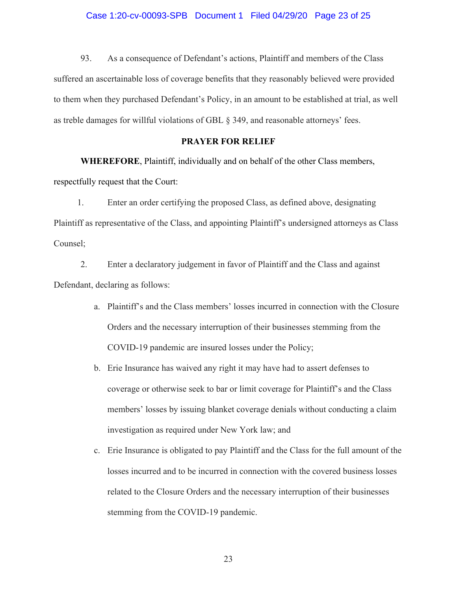#### Case 1:20-cv-00093-SPB Document 1 Filed 04/29/20 Page 23 of 25

93. As a consequence of Defendant's actions, Plaintiff and members of the Class suffered an ascertainable loss of coverage benefits that they reasonably believed were provided to them when they purchased Defendant's Policy, in an amount to be established at trial, as well as treble damages for willful violations of GBL § 349, and reasonable attorneys' fees.

## **PRAYER FOR RELIEF**

**WHEREFORE**, Plaintiff, individually and on behalf of the other Class members, respectfully request that the Court:

1. Enter an order certifying the proposed Class, as defined above, designating Plaintiff as representative of the Class, and appointing Plaintiff's undersigned attorneys as Class Counsel;

2. Enter a declaratory judgement in favor of Plaintiff and the Class and against Defendant, declaring as follows:

- a. Plaintiff's and the Class members' losses incurred in connection with the Closure Orders and the necessary interruption of their businesses stemming from the COVID-19 pandemic are insured losses under the Policy;
- b. Erie Insurance has waived any right it may have had to assert defenses to coverage or otherwise seek to bar or limit coverage for Plaintiff's and the Class members' losses by issuing blanket coverage denials without conducting a claim investigation as required under New York law; and
- c. Erie Insurance is obligated to pay Plaintiff and the Class for the full amount of the losses incurred and to be incurred in connection with the covered business losses related to the Closure Orders and the necessary interruption of their businesses stemming from the COVID-19 pandemic.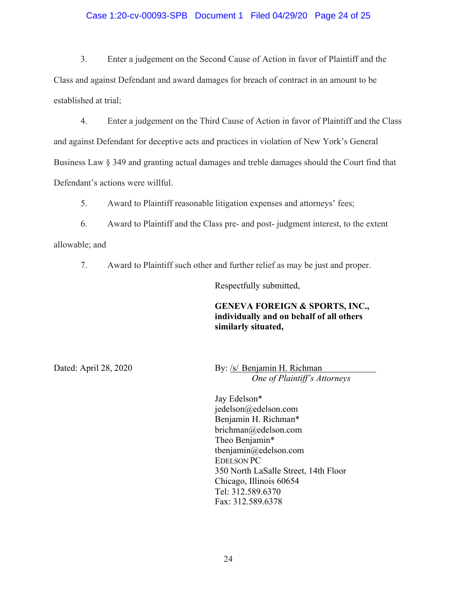## Case 1:20-cv-00093-SPB Document 1 Filed 04/29/20 Page 24 of 25

3. Enter a judgement on the Second Cause of Action in favor of Plaintiff and the Class and against Defendant and award damages for breach of contract in an amount to be established at trial;

4. Enter a judgement on the Third Cause of Action in favor of Plaintiff and the Class and against Defendant for deceptive acts and practices in violation of New York's General Business Law § 349 and granting actual damages and treble damages should the Court find that Defendant's actions were willful.

5. Award to Plaintiff reasonable litigation expenses and attorneys' fees;

6. Award to Plaintiff and the Class pre- and post- judgment interest, to the extent

allowable; and

7. Award to Plaintiff such other and further relief as may be just and proper.

Respectfully submitted,

# **GENEVA FOREIGN & SPORTS, INC., individually and on behalf of all others similarly situated,**

Dated: April 28, 2020 By: /s/ Benjamin H. Richman *One of Plaintiff's Attorneys* 

> Jay Edelson\* jedelson@edelson.com Benjamin H. Richman\* brichman@edelson.com Theo Benjamin\* tbenjamin@edelson.com EDELSON PC 350 North LaSalle Street, 14th Floor Chicago, Illinois 60654 Tel: 312.589.6370 Fax: 312.589.6378